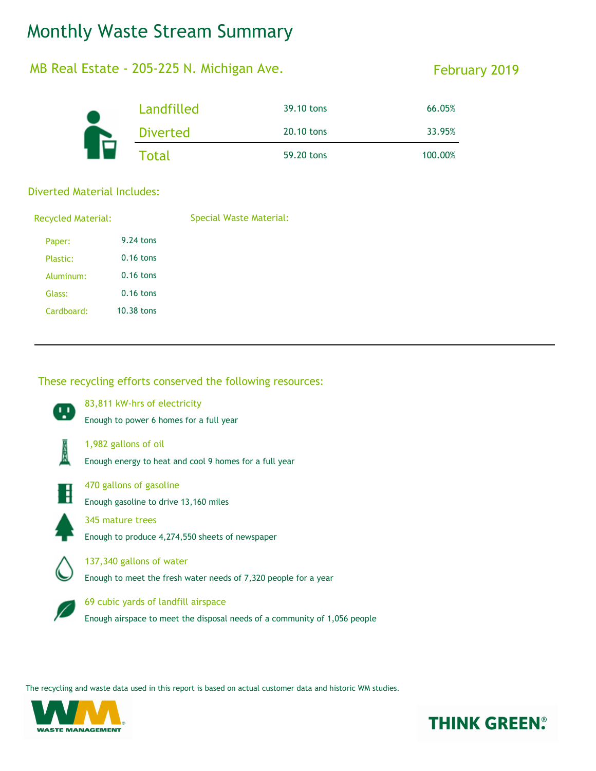# Monthly Waste Stream Summary

### MB Real Estate - 205-225 N. Michigan Ave.

### February 2019

|  | Landfilled      | 39.10 tons | 66.05%  |
|--|-----------------|------------|---------|
|  | <b>Diverted</b> | 20.10 tons | 33.95%  |
|  | <b>Total</b>    | 59.20 tons | 100.00% |

#### Diverted Material Includes:

| <b>Recycled Material:</b> |             | Special Waste Material: |  |
|---------------------------|-------------|-------------------------|--|
| Paper:                    | 9.24 tons   |                         |  |
| Plastic:                  | $0.16$ tons |                         |  |
| Aluminum:                 | $0.16$ tons |                         |  |
| Glass:                    | $0.16$ tons |                         |  |
| Cardboard:                | 10.38 tons  |                         |  |
|                           |             |                         |  |

#### These recycling efforts conserved the following resources:



83,811 kW-hrs of electricity

Enough to power 6 homes for a full year



1,982 gallons of oil





470 gallons of gasoline

Enough gasoline to drive 13,160 miles



345 mature trees

Enough to produce 4,274,550 sheets of newspaper



137,340 gallons of water

Enough to meet the fresh water needs of 7,320 people for a year



69 cubic yards of landfill airspace

Enough airspace to meet the disposal needs of a community of 1,056 people

The recycling and waste data used in this report is based on actual customer data and historic WM studies.



## **THINK GREEN®**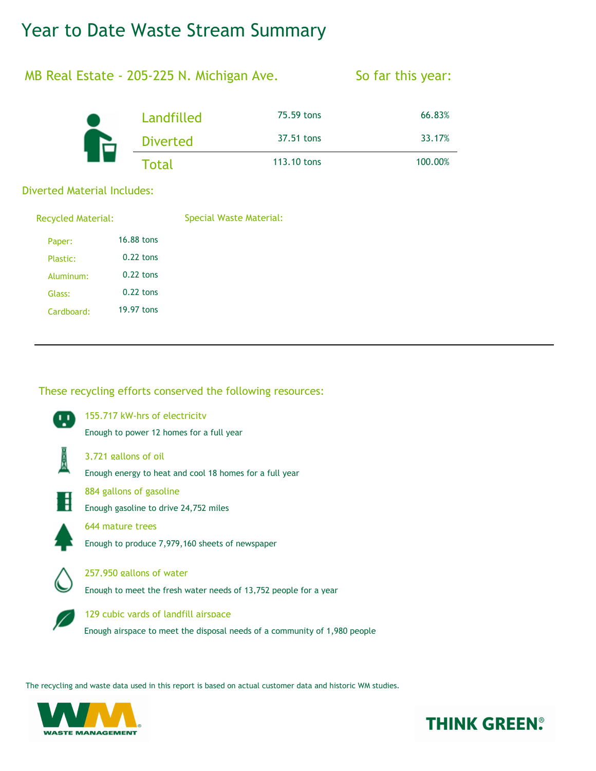## Year to Date Waste Stream Summary

### MB Real Estate - 205-225 N. Michigan Ave.

#### So far this year:

|  | Landfilled      | 75.59 tons  | 66.83%  |
|--|-----------------|-------------|---------|
|  | <b>Diverted</b> | 37.51 tons  | 33.17%  |
|  | Total           | 113.10 tons | 100.00% |

#### Diverted Material Includes:

| <b>Recycled Material:</b> |             | Special Waste Material: |  |
|---------------------------|-------------|-------------------------|--|
| Paper:                    | 16.88 tons  |                         |  |
| Plastic:                  | $0.22$ tons |                         |  |
| Aluminum:                 | $0.22$ tons |                         |  |
| Glass:                    | $0.22$ tons |                         |  |
| Cardboard:                | 19.97 tons  |                         |  |
|                           |             |                         |  |

#### These recycling efforts conserved the following resources:



The recycling and waste data used in this report is based on actual customer data and historic WM studies.



## **THINK GREEN®**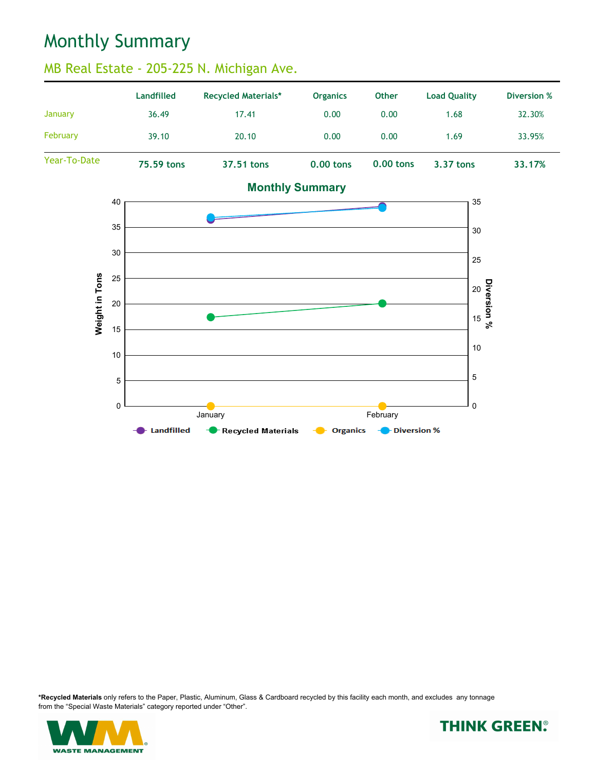## Monthly Summary

### MB Real Estate - 205-225 N. Michigan Ave.





**\*Recycled Materials** only refers to the Paper, Plastic, Aluminum, Glass & Cardboard recycled by this facility each month, and excludes any tonnage from the "Special Waste Materials" category reported under "Other".